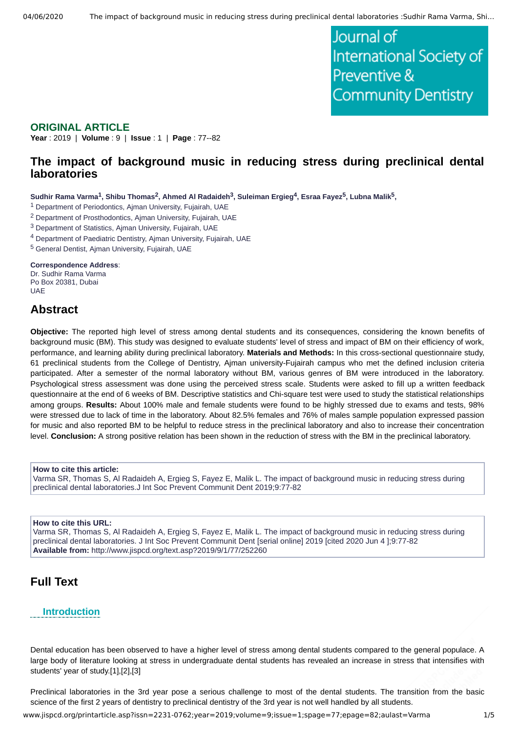Journal of International Society of Preventive & **Community Dentistry** 

### **ORIGINAL ARTICLE**

**Year** : 2019 | **Volume** : 9 | **Issue** : 1 | **Page** : 77--82

## **The impact of background music in reducing stress during preclinical dental laboratories**

 $S$ udhir Rama Varma $^1$ , Shibu Thomas $^2$ , Ahmed Al Radaideh $^3$ , Suleiman Ergieg $^4$ , Esraa Fayez $^5$ , Lubna Malik $^5$ ,

<sup>1</sup> Department of Periodontics, Ajman University, Fujairah, UAE

<sup>2</sup> Department of Prosthodontics, Ajman University, Fujairah, UAE

<sup>3</sup> Department of Statistics, Ajman University, Fujairah, UAE

4 Department of Paediatric Dentistry, Ajman University, Fujairah, UAE

<sup>5</sup> General Dentist, Ajman University, Fujairah, UAE

#### **Correspondence Address**:

Dr. Sudhir Rama Varma Po Box 20381, Dubai UAE

## **Abstract**

**Objective:** The reported high level of stress among dental students and its consequences, considering the known benefits of background music (BM). This study was designed to evaluate students' level of stress and impact of BM on their efficiency of work, performance, and learning ability during preclinical laboratory. **Materials and Methods:** In this cross-sectional questionnaire study, 61 preclinical students from the College of Dentistry, Ajman university-Fujairah campus who met the defined inclusion criteria participated. After a semester of the normal laboratory without BM, various genres of BM were introduced in the laboratory. Psychological stress assessment was done using the perceived stress scale. Students were asked to fill up a written feedback questionnaire at the end of 6 weeks of BM. Descriptive statistics and Chi-square test were used to study the statistical relationships among groups. **Results:** About 100% male and female students were found to be highly stressed due to exams and tests, 98% were stressed due to lack of time in the laboratory. About 82.5% females and 76% of males sample population expressed passion for music and also reported BM to be helpful to reduce stress in the preclinical laboratory and also to increase their concentration level. **Conclusion:** A strong positive relation has been shown in the reduction of stress with the BM in the preclinical laboratory.

#### **How to cite this article:**

Varma SR, Thomas S, Al Radaideh A, Ergieg S, Fayez E, Malik L. The impact of background music in reducing stress during preclinical dental laboratories.J Int Soc Prevent Communit Dent 2019;9:77-82

#### **How to cite this URL:**

Varma SR, Thomas S, Al Radaideh A, Ergieg S, Fayez E, Malik L. The impact of background music in reducing stress during preclinical dental laboratories. J Int Soc Prevent Communit Dent [serial online] 2019 [cited 2020 Jun 4 ];9:77-82 **Available from:** http://www.jispcd.org/text.asp?2019/9/1/77/252260

## **Full Text**

#### **Introduction**

Dental education has been observed to have a higher level of stress among dental students compared to the general populace. A large body of literature looking at stress in undergraduate dental students has revealed an increase in stress that intensifies with students' year of study.[1],[2],[3]

Preclinical laboratories in the 3rd year pose a serious challenge to most of the dental students. The transition from the basic science of the first 2 years of dentistry to preclinical dentistry of the 3rd year is not well handled by all students.

www.jispcd.org/printarticle.asp?issn=2231-0762;year=2019;volume=9;issue=1;spage=77;epage=82;aulast=Varma 1/5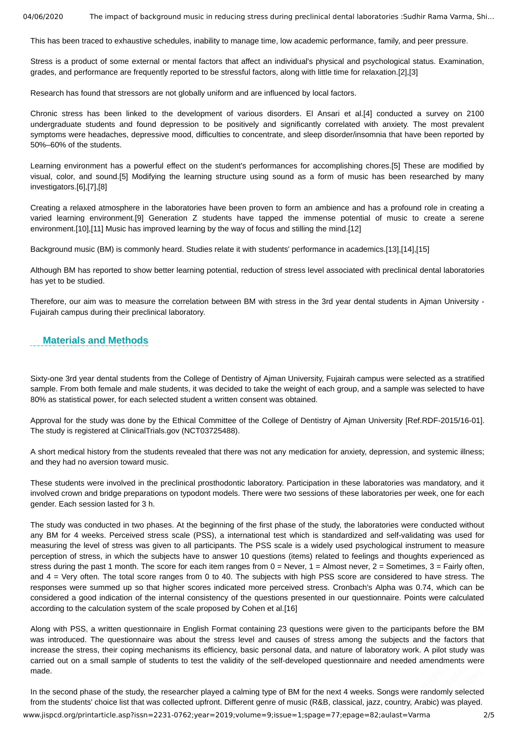04/06/2020 The impact of background music in reducing stress during preclinical dental laboratories :Sudhir Rama Varma, Shi...

This has been traced to exhaustive schedules, inability to manage time, low academic performance, family, and peer pressure.

Stress is a product of some external or mental factors that affect an individual's physical and psychological status. Examination, grades, and performance are frequently reported to be stressful factors, along with little time for relaxation.[2],[3]

Research has found that stressors are not globally uniform and are influenced by local factors.

Chronic stress has been linked to the development of various disorders. El Ansari et al.[4] conducted a survey on 2100 undergraduate students and found depression to be positively and significantly correlated with anxiety. The most prevalent symptoms were headaches, depressive mood, difficulties to concentrate, and sleep disorder/insomnia that have been reported by 50%–60% of the students.

Learning environment has a powerful effect on the student's performances for accomplishing chores.[5] These are modified by visual, color, and sound.[5] Modifying the learning structure using sound as a form of music has been researched by many investigators.[6],[7],[8]

Creating a relaxed atmosphere in the laboratories have been proven to form an ambience and has a profound role in creating a varied learning environment.[9] Generation Z students have tapped the immense potential of music to create a serene environment.[10],[11] Music has improved learning by the way of focus and stilling the mind.[12]

Background music (BM) is commonly heard. Studies relate it with students' performance in academics.[13],[14],[15]

Although BM has reported to show better learning potential, reduction of stress level associated with preclinical dental laboratories has yet to be studied.

Therefore, our aim was to measure the correlation between BM with stress in the 3rd year dental students in Ajman University - Fujairah campus during their preclinical laboratory.

### **Materials and Methods**

Sixty-one 3rd year dental students from the College of Dentistry of Ajman University, Fujairah campus were selected as a stratified sample. From both female and male students, it was decided to take the weight of each group, and a sample was selected to have 80% as statistical power, for each selected student a written consent was obtained.

Approval for the study was done by the Ethical Committee of the College of Dentistry of Ajman University [Ref.RDF-2015/16-01]. The study is registered at ClinicalTrials.gov (NCT03725488).

A short medical history from the students revealed that there was not any medication for anxiety, depression, and systemic illness; and they had no aversion toward music.

These students were involved in the preclinical prosthodontic laboratory. Participation in these laboratories was mandatory, and it involved crown and bridge preparations on typodont models. There were two sessions of these laboratories per week, one for each gender. Each session lasted for 3 h.

The study was conducted in two phases. At the beginning of the first phase of the study, the laboratories were conducted without any BM for 4 weeks. Perceived stress scale (PSS), a international test which is standardized and self-validating was used for measuring the level of stress was given to all participants. The PSS scale is a widely used psychological instrument to measure perception of stress, in which the subjects have to answer 10 questions (items) related to feelings and thoughts experienced as stress during the past 1 month. The score for each item ranges from  $0 =$  Never,  $1 =$  Almost never,  $2 =$  Sometimes,  $3 =$  Fairly often, and 4 = Very often. The total score ranges from 0 to 40. The subjects with high PSS score are considered to have stress. The responses were summed up so that higher scores indicated more perceived stress. Cronbach's Alpha was 0.74, which can be considered a good indication of the internal consistency of the questions presented in our questionnaire. Points were calculated according to the calculation system of the scale proposed by Cohen et al.[16]

Along with PSS, a written questionnaire in English Format containing 23 questions were given to the participants before the BM was introduced. The questionnaire was about the stress level and causes of stress among the subjects and the factors that increase the stress, their coping mechanisms its efficiency, basic personal data, and nature of laboratory work. A pilot study was carried out on a small sample of students to test the validity of the self-developed questionnaire and needed amendments were made.

In the second phase of the study, the researcher played a calming type of BM for the next 4 weeks. Songs were randomly selected from the students' choice list that was collected upfront. Different genre of music (R&B, classical, jazz, country, Arabic) was played.

www.jispcd.org/printarticle.asp?issn=2231-0762;year=2019;volume=9;issue=1;spage=77;epage=82;aulast=Varma 2/5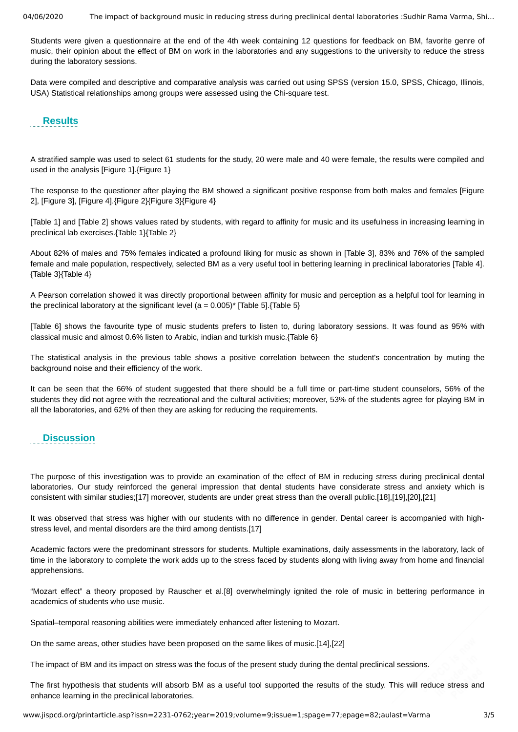04/06/2020 The impact of background music in reducing stress during preclinical dental laboratories :Sudhir Rama Varma, Shi…

Students were given a questionnaire at the end of the 4th week containing 12 questions for feedback on BM, favorite genre of music, their opinion about the effect of BM on work in the laboratories and any suggestions to the university to reduce the stress during the laboratory sessions.

Data were compiled and descriptive and comparative analysis was carried out using SPSS (version 15.0, SPSS, Chicago, Illinois, USA) Statistical relationships among groups were assessed using the Chi-square test.

#### **Results**

A stratified sample was used to select 61 students for the study, 20 were male and 40 were female, the results were compiled and used in the analysis [Figure 1].{Figure 1}

The response to the questioner after playing the BM showed a significant positive response from both males and females [Figure 2], [Figure 3], [Figure 4].{Figure 2}{Figure 3}{Figure 4}

[Table 1] and [Table 2] shows values rated by students, with regard to affinity for music and its usefulness in increasing learning in preclinical lab exercises.{Table 1}{Table 2}

About 82% of males and 75% females indicated a profound liking for music as shown in [Table 3], 83% and 76% of the sampled female and male population, respectively, selected BM as a very useful tool in bettering learning in preclinical laboratories [Table 4]. {Table 3}{Table 4}

A Pearson correlation showed it was directly proportional between affinity for music and perception as a helpful tool for learning in the preclinical laboratory at the significant level ( $a = 0.005$ )\* [Table 5]. {Table 5}

[Table 6] shows the favourite type of music students prefers to listen to, during laboratory sessions. It was found as 95% with classical music and almost 0.6% listen to Arabic, indian and turkish music.{Table 6}

The statistical analysis in the previous table shows a positive correlation between the student's concentration by muting the background noise and their efficiency of the work.

It can be seen that the 66% of student suggested that there should be a full time or part-time student counselors, 56% of the students they did not agree with the recreational and the cultural activities; moreover, 53% of the students agree for playing BM in all the laboratories, and 62% of then they are asking for reducing the requirements.

#### **Discussion**

The purpose of this investigation was to provide an examination of the effect of BM in reducing stress during preclinical dental laboratories. Our study reinforced the general impression that dental students have considerate stress and anxiety which is consistent with similar studies;[17] moreover, students are under great stress than the overall public.[18],[19],[20],[21]

It was observed that stress was higher with our students with no difference in gender. Dental career is accompanied with highstress level, and mental disorders are the third among dentists.[17]

Academic factors were the predominant stressors for students. Multiple examinations, daily assessments in the laboratory, lack of time in the laboratory to complete the work adds up to the stress faced by students along with living away from home and financial apprehensions.

"Mozart effect" a theory proposed by Rauscher et al.[8] overwhelmingly ignited the role of music in bettering performance in academics of students who use music.

Spatial–temporal reasoning abilities were immediately enhanced after listening to Mozart.

On the same areas, other studies have been proposed on the same likes of music.[14],[22]

The impact of BM and its impact on stress was the focus of the present study during the dental preclinical sessions.

The first hypothesis that students will absorb BM as a useful tool supported the results of the study. This will reduce stress and enhance learning in the preclinical laboratories.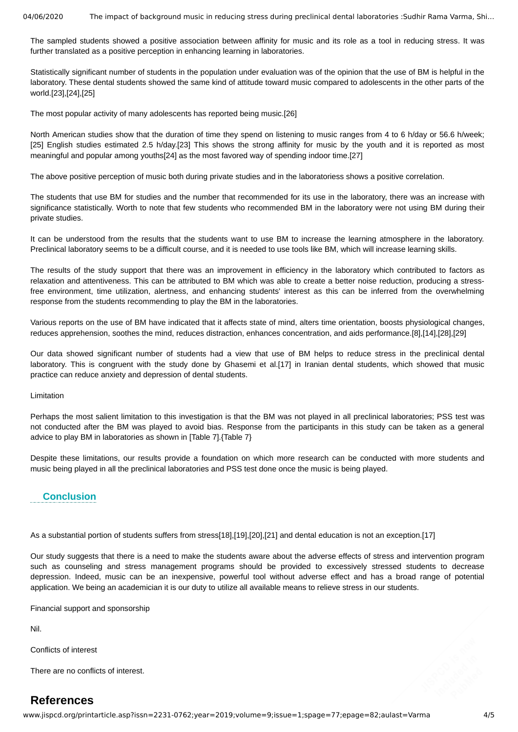04/06/2020 The impact of background music in reducing stress during preclinical dental laboratories : Sudhir Rama Varma, Shi...

The sampled students showed a positive association between affinity for music and its role as a tool in reducing stress. It was further translated as a positive perception in enhancing learning in laboratories.

Statistically significant number of students in the population under evaluation was of the opinion that the use of BM is helpful in the laboratory. These dental students showed the same kind of attitude toward music compared to adolescents in the other parts of the world.[23],[24],[25]

The most popular activity of many adolescents has reported being music.[26]

North American studies show that the duration of time they spend on listening to music ranges from 4 to 6 h/day or 56.6 h/week; [25] English studies estimated 2.5 h/day.[23] This shows the strong affinity for music by the youth and it is reported as most meaningful and popular among youths[24] as the most favored way of spending indoor time.[27]

The above positive perception of music both during private studies and in the laboratoriess shows a positive correlation.

The students that use BM for studies and the number that recommended for its use in the laboratory, there was an increase with significance statistically. Worth to note that few students who recommended BM in the laboratory were not using BM during their private studies.

It can be understood from the results that the students want to use BM to increase the learning atmosphere in the laboratory. Preclinical laboratory seems to be a difficult course, and it is needed to use tools like BM, which will increase learning skills.

The results of the study support that there was an improvement in efficiency in the laboratory which contributed to factors as relaxation and attentiveness. This can be attributed to BM which was able to create a better noise reduction, producing a stressfree environment, time utilization, alertness, and enhancing students' interest as this can be inferred from the overwhelming response from the students recommending to play the BM in the laboratories.

Various reports on the use of BM have indicated that it affects state of mind, alters time orientation, boosts physiological changes, reduces apprehension, soothes the mind, reduces distraction, enhances concentration, and aids performance.[8],[14],[28],[29]

Our data showed significant number of students had a view that use of BM helps to reduce stress in the preclinical dental laboratory. This is congruent with the study done by Ghasemi et al.[17] in Iranian dental students, which showed that music practice can reduce anxiety and depression of dental students.

Limitation

Perhaps the most salient limitation to this investigation is that the BM was not played in all preclinical laboratories; PSS test was not conducted after the BM was played to avoid bias. Response from the participants in this study can be taken as a general advice to play BM in laboratories as shown in [Table 7].{Table 7}

Despite these limitations, our results provide a foundation on which more research can be conducted with more students and music being played in all the preclinical laboratories and PSS test done once the music is being played.

### **Conclusion**

As a substantial portion of students suffers from stress[18],[19],[20],[21] and dental education is not an exception.[17]

Our study suggests that there is a need to make the students aware about the adverse effects of stress and intervention program such as counseling and stress management programs should be provided to excessively stressed students to decrease depression. Indeed, music can be an inexpensive, powerful tool without adverse effect and has a broad range of potential application. We being an academician it is our duty to utilize all available means to relieve stress in our students.

Financial support and sponsorship

Nil.

Conflicts of interest

There are no conflicts of interest.

# **References**